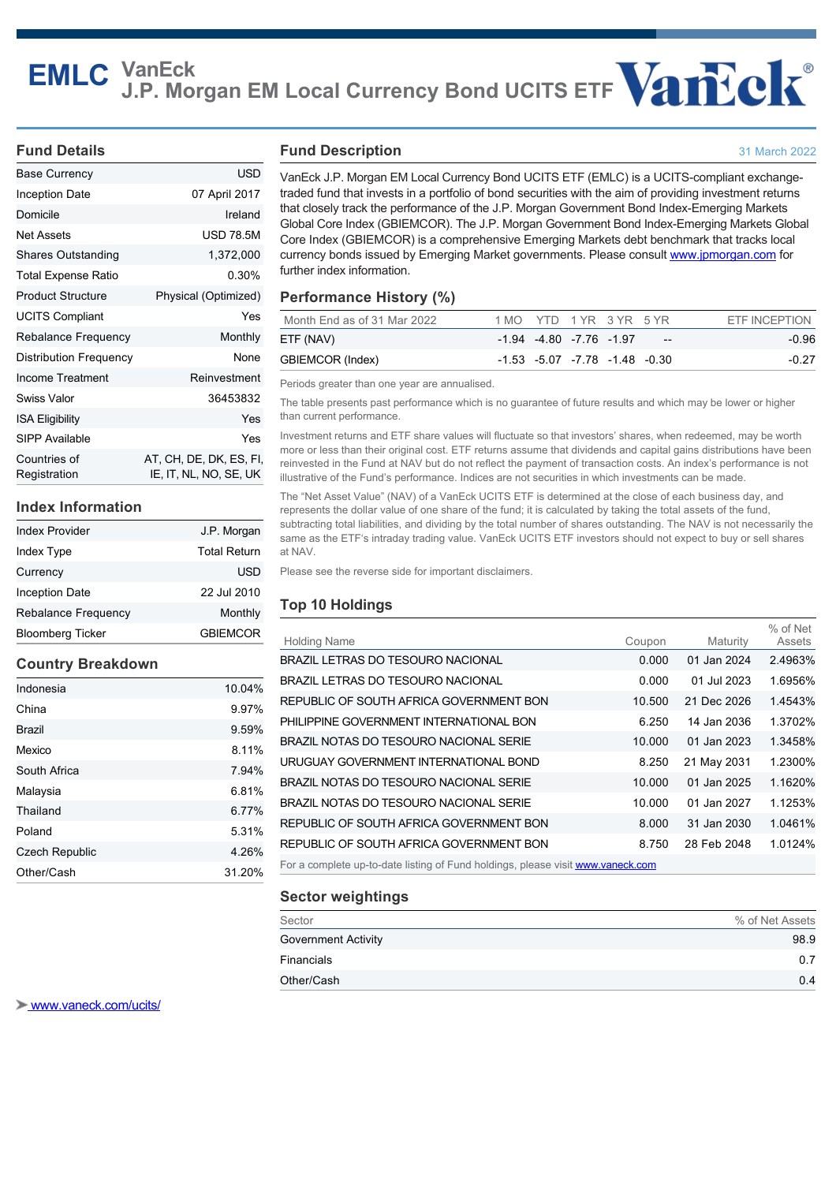# **EMLC VanEck J.P. Morgan EM Local Currency Bond UCITS ETF**

#### **Fund Details**

| Base Currency                | USD                                               |
|------------------------------|---------------------------------------------------|
| Inception Date               | 07 April 2017                                     |
| Domicile                     | Ireland                                           |
| Net Assets                   | <b>USD 78.5M</b>                                  |
| Shares Outstanding           | 1,372,000                                         |
| Total Expense Ratio          | 0.30%                                             |
| <b>Product Structure</b>     | Physical (Optimized)                              |
| <b>UCITS Compliant</b>       | Yes                                               |
| <b>Rebalance Frequency</b>   | Monthly                                           |
| Distribution Frequency       | None                                              |
| Income Treatment             | Reinvestment                                      |
| Swiss Valor                  | 36453832                                          |
| <b>ISA Eligibility</b>       | Yes                                               |
| SIPP Available               | Yes                                               |
| Countries of<br>Registration | AT, CH, DE, DK, ES, FI,<br>IE, IT, NL, NO, SE, UK |

#### **Index Information**

| <b>Bloomberg Ticker</b>    | <b>GBIEMCOR</b>     |
|----------------------------|---------------------|
| <b>Rebalance Frequency</b> | Monthly             |
| <b>Inception Date</b>      | 22 Jul 2010         |
| Currency                   | USD                 |
| Index Type                 | <b>Total Return</b> |
| <b>Index Provider</b>      | J.P. Morgan         |

## **Country Breakdown**

| Indonesia             | 10.04% |
|-----------------------|--------|
| China                 | 9.97%  |
| <b>Brazil</b>         | 9.59%  |
| Mexico                | 8.11%  |
| South Africa          | 7.94%  |
| Malaysia              | 6.81%  |
| Thailand              | 6.77%  |
| Poland                | 5.31%  |
| <b>Czech Republic</b> | 4.26%  |
| Other/Cash            | 31.20% |

## **Fund Description**

VanEck J.P. Morgan EM Local Currency Bond UCITS ETF (EMLC) is a UCITS-compliant exchangetraded fund that invests in a portfolio of bond securities with the aim of providing investment returns that closely track the performance of the J.P. Morgan Government Bond Index-Emerging Markets Global Core Index (GBIEMCOR). The J.P. Morgan Government Bond Index-Emerging Markets Global Core Index (GBIEMCOR) is a comprehensive Emerging Markets debt benchmark that tracks local currency bonds issued by Emerging Market governments. Please consult [www.jpmorgan.com](http://www.jpmorgan.com) for further index information.

31 March 2022

## **Performance History (%)**

|  |  |                                 | ETF INCEPTION                                            |
|--|--|---------------------------------|----------------------------------------------------------|
|  |  | $\overline{\phantom{a}}$        | -0.96                                                    |
|  |  |                                 | $-0.27$                                                  |
|  |  | $-1.94$ $-4.80$ $-7.76$ $-1.97$ | 1 MO YTD 1 YR 3 YR 5 YR<br>-1.53 -5.07 -7.78 -1.48 -0.30 |

Periods greater than one year are annualised.

The table presents past performance which is no guarantee of future results and which may be lower or higher than current performance.

Investment returns and ETF share values will fluctuate so that investors' shares, when redeemed, may be worth more or less than their original cost. ETF returns assume that dividends and capital gains distributions have been reinvested in the Fund at NAV but do not reflect the payment of transaction costs. An index's performance is not illustrative of the Fund's performance. Indices are not securities in which investments can be made.

The "Net Asset Value" (NAV) of a VanEck UCITS ETF is determined at the close of each business day, and represents the dollar value of one share of the fund; it is calculated by taking the total assets of the fund, subtracting total liabilities, and dividing by the total number of shares outstanding. The NAV is not necessarily the same as the ETF's intraday trading value. VanEck UCITS ETF investors should not expect to buy or sell shares at NAV.

Please see the reverse side for important disclaimers.

## **Top 10 Holdings**

| <b>Holding Name</b>                                                             | Coupon | Maturity    | % of Net<br>Assets |
|---------------------------------------------------------------------------------|--------|-------------|--------------------|
| BRAZIL LETRAS DO TESOURO NACIONAL                                               | 0.000  | 01 Jan 2024 | 2.4963%            |
| BRAZIL LETRAS DO TESOURO NACIONAL                                               | 0.000  | 01 Jul 2023 | 1.6956%            |
| REPUBLIC OF SOUTH AFRICA GOVERNMENT BON                                         | 10.500 | 21 Dec 2026 | 1.4543%            |
| PHILIPPINE GOVERNMENT INTERNATIONAL BON                                         | 6.250  | 14 Jan 2036 | 1.3702%            |
| BRAZIL NOTAS DO TESOURO NACIONAL SERIE                                          | 10.000 | 01 Jan 2023 | 1.3458%            |
| URUGUAY GOVERNMENT INTERNATIONAL BOND                                           | 8.250  | 21 May 2031 | 1.2300%            |
| BRAZIL NOTAS DO TESOURO NACIONAL SERIE                                          | 10.000 | 01 Jan 2025 | 1.1620%            |
| BRAZIL NOTAS DO TESOURO NACIONAL SERIE                                          | 10.000 | 01 Jan 2027 | 1.1253%            |
| REPUBLIC OF SOUTH AFRICA GOVERNMENT BON                                         | 8.000  | 31 Jan 2030 | 1.0461%            |
| REPUBLIC OF SOUTH AFRICA GOVERNMENT BON                                         | 8.750  | 28 Feb 2048 | 1.0124%            |
| For a complete up-to-date listing of Fund holdings, please visit www.vaneck.com |        |             |                    |

## **Sector weightings**

| Sector                     | % of Net Assets |
|----------------------------|-----------------|
| <b>Government Activity</b> | 98.9            |
| Financials                 | 0.7             |
| Other/Cash                 | 0.4             |

 [www.vaneck.com/ucits/](http://www.vaneck.com/ucits/)